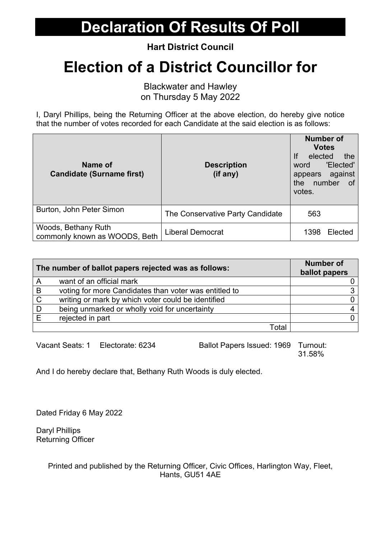**Hart District Council**

# **Election of a District Councillor for**

Blackwater and Hawley on Thursday 5 May 2022

I, Daryl Phillips, being the Returning Officer at the above election, do hereby give notice that the number of votes recorded for each Candidate at the said election is as follows:

| Name of<br><b>Candidate (Surname first)</b>          | <b>Description</b><br>(if any)   | <b>Number of</b><br><b>Votes</b><br>If<br>elected<br>the<br>'Elected'<br>word<br>appears against<br>number<br>the<br>of<br>votes. |
|------------------------------------------------------|----------------------------------|-----------------------------------------------------------------------------------------------------------------------------------|
| Burton, John Peter Simon                             | The Conservative Party Candidate | 563                                                                                                                               |
| Woods, Bethany Ruth<br>commonly known as WOODS, Beth | <b>Liberal Democrat</b>          | 1398<br>Elected                                                                                                                   |

| The number of ballot papers rejected was as follows: |                                                       | <b>Number of</b><br>ballot papers |
|------------------------------------------------------|-------------------------------------------------------|-----------------------------------|
| A                                                    | want of an official mark                              |                                   |
| B                                                    | voting for more Candidates than voter was entitled to |                                   |
| $\mathsf{C}$                                         | writing or mark by which voter could be identified    |                                   |
|                                                      | being unmarked or wholly void for uncertainty         |                                   |
|                                                      | rejected in part                                      |                                   |
|                                                      | Total                                                 |                                   |

Vacant Seats: 1 Electorate: 6234 Ballot Papers Issued: 1969 Turnout: 31.58%

And I do hereby declare that, Bethany Ruth Woods is duly elected.

Dated Friday 6 May 2022

Daryl Phillips Returning Officer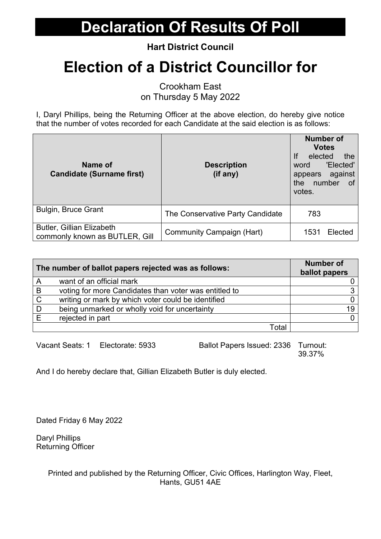**Hart District Council**

# **Election of a District Councillor for**

Crookham East on Thursday 5 May 2022

I, Daryl Phillips, being the Returning Officer at the above election, do hereby give notice that the number of votes recorded for each Candidate at the said election is as follows:

| Name of<br><b>Candidate (Surname first)</b>                        | <b>Description</b><br>(if any)   | <b>Number of</b><br><b>Votes</b><br>If<br>elected<br>the<br>'Elected'<br>word<br>appears against<br>number<br>the<br>0f<br>votes. |
|--------------------------------------------------------------------|----------------------------------|-----------------------------------------------------------------------------------------------------------------------------------|
| <b>Bulgin, Bruce Grant</b>                                         | The Conservative Party Candidate | 783                                                                                                                               |
| <b>Butler, Gillian Elizabeth</b><br>commonly known as BUTLER, Gill | Community Campaign (Hart)        | 1531<br>Elected                                                                                                                   |

| The number of ballot papers rejected was as follows: |                                                       | <b>Number of</b><br>ballot papers |
|------------------------------------------------------|-------------------------------------------------------|-----------------------------------|
| A                                                    | want of an official mark                              |                                   |
| B                                                    | voting for more Candidates than voter was entitled to |                                   |
| C                                                    | writing or mark by which voter could be identified    |                                   |
| D                                                    | being unmarked or wholly void for uncertainty         | 19                                |
|                                                      | rejected in part                                      |                                   |
|                                                      | Total                                                 |                                   |

Vacant Seats: 1 Electorate: 5933 Ballot Papers Issued: 2336 Turnout: 39.37%

And I do hereby declare that, Gillian Elizabeth Butler is duly elected.

Dated Friday 6 May 2022

Daryl Phillips Returning Officer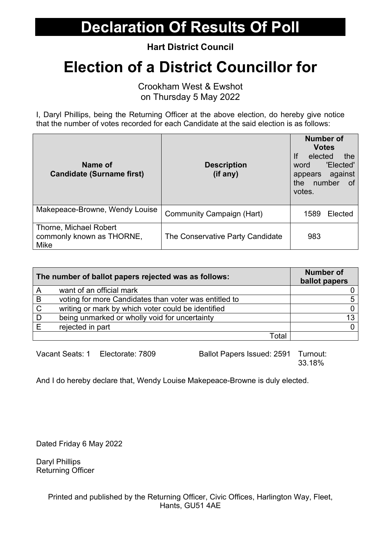**Hart District Council**

# **Election of a District Councillor for**

Crookham West & Ewshot on Thursday 5 May 2022

I, Daryl Phillips, being the Returning Officer at the above election, do hereby give notice that the number of votes recorded for each Candidate at the said election is as follows:

| Name of<br><b>Candidate (Surname first)</b>                 | <b>Description</b><br>(if any)   | <b>Number of</b><br><b>Votes</b><br>If<br>elected<br>the<br>'Elected'<br>word<br>appears against<br>number<br>the<br>of<br>votes. |
|-------------------------------------------------------------|----------------------------------|-----------------------------------------------------------------------------------------------------------------------------------|
| Makepeace-Browne, Wendy Louise                              | Community Campaign (Hart)        | 1589<br>Elected                                                                                                                   |
| Thorne, Michael Robert<br>commonly known as THORNE,<br>Mike | The Conservative Party Candidate | 983                                                                                                                               |

| The number of ballot papers rejected was as follows: |                                                       | <b>Number of</b><br>ballot papers |
|------------------------------------------------------|-------------------------------------------------------|-----------------------------------|
| A                                                    | want of an official mark                              |                                   |
| $\overline{B}$                                       | voting for more Candidates than voter was entitled to |                                   |
| $\mathsf{C}$                                         | writing or mark by which voter could be identified    |                                   |
| D                                                    | being unmarked or wholly void for uncertainty         | 13                                |
| Е                                                    | rejected in part                                      |                                   |
|                                                      | Total                                                 |                                   |

Vacant Seats: 1 Electorate: 7809 Ballot Papers Issued: 2591 Turnout: 33.18%

And I do hereby declare that, Wendy Louise Makepeace-Browne is duly elected.

Dated Friday 6 May 2022

Daryl Phillips Returning Officer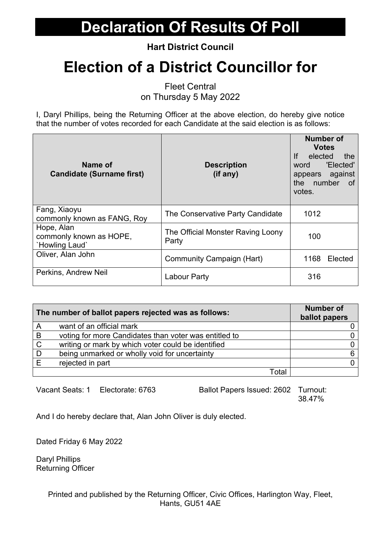**Hart District Council**

# **Election of a District Councillor for**

Fleet Central

on Thursday 5 May 2022

I, Daryl Phillips, being the Returning Officer at the above election, do hereby give notice that the number of votes recorded for each Candidate at the said election is as follows:

| Name of<br><b>Candidate (Surname first)</b>             | <b>Description</b><br>(if any)             | <b>Number of</b><br><b>Votes</b><br>If<br>elected<br>the<br>'Elected'<br>word<br>appears against<br>the number<br>of .<br>votes. |
|---------------------------------------------------------|--------------------------------------------|----------------------------------------------------------------------------------------------------------------------------------|
| Fang, Xiaoyu<br>commonly known as FANG, Roy             | The Conservative Party Candidate           | 1012                                                                                                                             |
| Hope, Alan<br>commonly known as HOPE,<br>'Howling Laud' | The Official Monster Raving Loony<br>Party | 100                                                                                                                              |
| Oliver, Alan John                                       | Community Campaign (Hart)                  | 1168<br>Elected                                                                                                                  |
| Perkins, Andrew Neil                                    | Labour Party                               | 316                                                                                                                              |

| The number of ballot papers rejected was as follows: |                                                       | <b>Number of</b><br>ballot papers |
|------------------------------------------------------|-------------------------------------------------------|-----------------------------------|
| A                                                    | want of an official mark                              |                                   |
| B                                                    | voting for more Candidates than voter was entitled to |                                   |
| $\mathsf{C}$                                         | writing or mark by which voter could be identified    |                                   |
| D                                                    | being unmarked or wholly void for uncertainty         |                                   |
|                                                      | rejected in part                                      |                                   |
|                                                      | Total                                                 |                                   |

Vacant Seats: 1 Electorate: 6763 Ballot Papers Issued: 2602 Turnout: 38.47%

And I do hereby declare that, Alan John Oliver is duly elected.

Dated Friday 6 May 2022

Daryl Phillips Returning Officer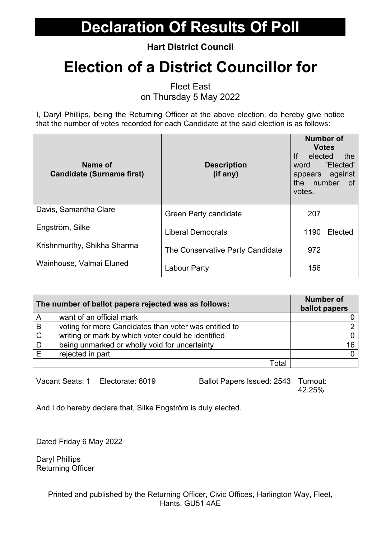**Hart District Council**

# **Election of a District Councillor for**

Fleet East

on Thursday 5 May 2022

I, Daryl Phillips, being the Returning Officer at the above election, do hereby give notice that the number of votes recorded for each Candidate at the said election is as follows:

| Name of<br><b>Candidate (Surname first)</b> | <b>Description</b><br>(if any)   | <b>Number of</b><br><b>Votes</b><br>lf<br>elected<br>the<br>'Elected'<br>word<br>appears against<br>the number<br>of<br>votes. |
|---------------------------------------------|----------------------------------|--------------------------------------------------------------------------------------------------------------------------------|
| Davis, Samantha Clare                       | <b>Green Party candidate</b>     | 207                                                                                                                            |
| Engström, Silke                             | <b>Liberal Democrats</b>         | 1190<br>Elected                                                                                                                |
| Krishnmurthy, Shikha Sharma                 | The Conservative Party Candidate | 972                                                                                                                            |
| Wainhouse, Valmai Eluned                    | Labour Party                     | 156                                                                                                                            |

| The number of ballot papers rejected was as follows: |                                                       | <b>Number of</b><br>ballot papers |
|------------------------------------------------------|-------------------------------------------------------|-----------------------------------|
| A                                                    | want of an official mark                              |                                   |
| B                                                    | voting for more Candidates than voter was entitled to |                                   |
| $\mathsf{C}$                                         | writing or mark by which voter could be identified    |                                   |
| D                                                    | being unmarked or wholly void for uncertainty         | 16.                               |
| F                                                    | rejected in part                                      |                                   |
|                                                      | Total                                                 |                                   |

Vacant Seats: 1 Electorate: 6019 Ballot Papers Issued: 2543 Turnout: 42.25%

And I do hereby declare that, Silke Engström is duly elected.

Dated Friday 6 May 2022

Daryl Phillips Returning Officer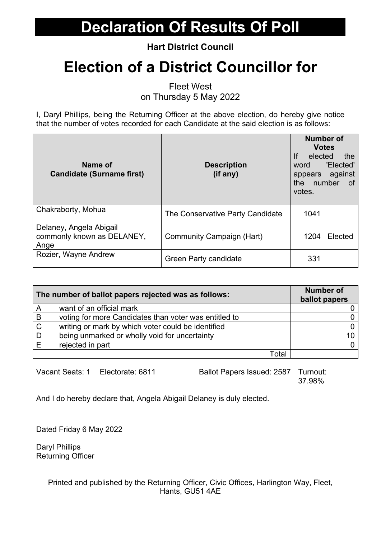**Hart District Council**

# **Election of a District Councillor for**

Fleet West

on Thursday 5 May 2022

I, Daryl Phillips, being the Returning Officer at the above election, do hereby give notice that the number of votes recorded for each Candidate at the said election is as follows:

| Name of<br><b>Candidate (Surname first)</b>                   | <b>Description</b><br>(if any)   | <b>Number of</b><br><b>Votes</b><br>If<br>elected<br>the<br>'Elected'<br>word<br>appears against<br>the<br>number<br>of.<br>votes. |
|---------------------------------------------------------------|----------------------------------|------------------------------------------------------------------------------------------------------------------------------------|
| Chakraborty, Mohua                                            | The Conservative Party Candidate | 1041                                                                                                                               |
| Delaney, Angela Abigail<br>commonly known as DELANEY,<br>Ange | <b>Community Campaign (Hart)</b> | Elected<br>1204                                                                                                                    |
| Rozier, Wayne Andrew                                          | Green Party candidate            | 331                                                                                                                                |

| The number of ballot papers rejected was as follows: |                                                       | <b>Number of</b><br>ballot papers |
|------------------------------------------------------|-------------------------------------------------------|-----------------------------------|
| A                                                    | want of an official mark                              |                                   |
| B                                                    | voting for more Candidates than voter was entitled to |                                   |
| $\mathsf{C}$                                         | writing or mark by which voter could be identified    |                                   |
| D                                                    | being unmarked or wholly void for uncertainty         |                                   |
|                                                      | rejected in part                                      |                                   |
|                                                      | Total                                                 |                                   |

Vacant Seats: 1 Electorate: 6811 Ballot Papers Issued: 2587 Turnout: 37.98%

And I do hereby declare that, Angela Abigail Delaney is duly elected.

Dated Friday 6 May 2022

Daryl Phillips Returning Officer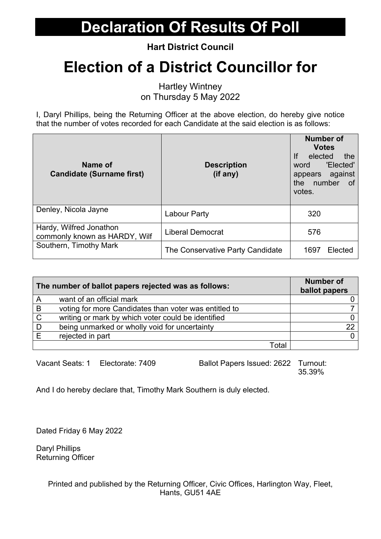**Hart District Council**

# **Election of a District Councillor for**

Hartley Wintney on Thursday 5 May 2022

I, Daryl Phillips, being the Returning Officer at the above election, do hereby give notice that the number of votes recorded for each Candidate at the said election is as follows:

| Name of<br><b>Candidate (Surname first)</b>              | <b>Description</b><br>(if any)   | <b>Number of</b><br><b>Votes</b><br>lf<br>elected<br>the<br>'Elected'<br>word<br>appears against<br>number<br>the the<br>of<br>votes. |
|----------------------------------------------------------|----------------------------------|---------------------------------------------------------------------------------------------------------------------------------------|
| Denley, Nicola Jayne                                     | Labour Party                     | 320                                                                                                                                   |
| Hardy, Wilfred Jonathon<br>commonly known as HARDY, Wilf | <b>Liberal Democrat</b>          | 576                                                                                                                                   |
| Southern, Timothy Mark                                   | The Conservative Party Candidate | Elected<br>1697                                                                                                                       |

| The number of ballot papers rejected was as follows: |                                                       | <b>Number of</b><br>ballot papers |
|------------------------------------------------------|-------------------------------------------------------|-----------------------------------|
| A                                                    | want of an official mark                              |                                   |
| B                                                    | voting for more Candidates than voter was entitled to |                                   |
| C                                                    | writing or mark by which voter could be identified    |                                   |
| D                                                    | being unmarked or wholly void for uncertainty         | 22                                |
|                                                      | rejected in part                                      |                                   |
|                                                      | Total                                                 |                                   |

Vacant Seats: 1 Electorate: 7409 Ballot Papers Issued: 2622 Turnout: 35.39%

And I do hereby declare that, Timothy Mark Southern is duly elected.

Dated Friday 6 May 2022

Daryl Phillips Returning Officer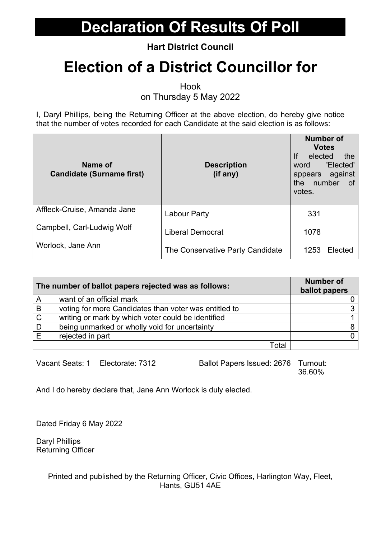**Hart District Council**

# **Election of a District Councillor for**

Hook

on Thursday 5 May 2022

I, Daryl Phillips, being the Returning Officer at the above election, do hereby give notice that the number of votes recorded for each Candidate at the said election is as follows:

| Name of<br><b>Candidate (Surname first)</b> | <b>Description</b><br>(if any)   | <b>Number of</b><br><b>Votes</b><br>If<br>elected<br>the<br>'Elected'<br>word<br>appears against<br>number<br>the<br>of<br>votes. |
|---------------------------------------------|----------------------------------|-----------------------------------------------------------------------------------------------------------------------------------|
| Affleck-Cruise, Amanda Jane                 | Labour Party                     | 331                                                                                                                               |
| Campbell, Carl-Ludwig Wolf                  | <b>Liberal Democrat</b>          | 1078                                                                                                                              |
| Worlock, Jane Ann                           | The Conservative Party Candidate | 1253<br>Elected                                                                                                                   |

| The number of ballot papers rejected was as follows: |                                                       | <b>Number of</b><br>ballot papers |
|------------------------------------------------------|-------------------------------------------------------|-----------------------------------|
| A                                                    | want of an official mark                              |                                   |
| B                                                    | voting for more Candidates than voter was entitled to |                                   |
| C                                                    | writing or mark by which voter could be identified    |                                   |
| D                                                    | being unmarked or wholly void for uncertainty         |                                   |
|                                                      | rejected in part                                      |                                   |
|                                                      | Total                                                 |                                   |

Vacant Seats: 1 Electorate: 7312 Ballot Papers Issued: 2676 Turnout: 36.60%

And I do hereby declare that, Jane Ann Worlock is duly elected.

Dated Friday 6 May 2022

Daryl Phillips Returning Officer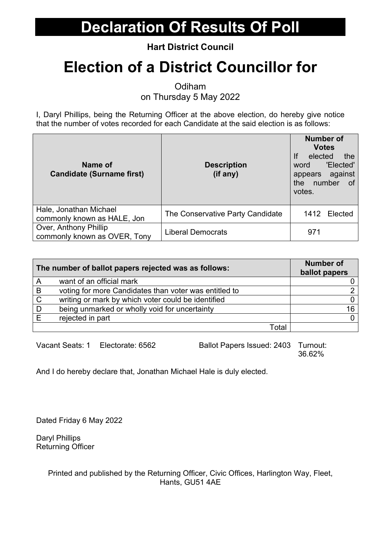**Hart District Council**

# **Election of a District Councillor for**

**Odiham** 

on Thursday 5 May 2022

I, Daryl Phillips, being the Returning Officer at the above election, do hereby give notice that the number of votes recorded for each Candidate at the said election is as follows:

| Name of<br><b>Candidate (Surname first)</b>           | <b>Description</b><br>(if any)   | <b>Number of</b><br><b>Votes</b><br>If<br>elected<br>the<br>'Elected'<br>word<br>appears against<br>the number<br>of<br>votes. |
|-------------------------------------------------------|----------------------------------|--------------------------------------------------------------------------------------------------------------------------------|
| Hale, Jonathan Michael<br>commonly known as HALE, Jon | The Conservative Party Candidate | 1412<br>Elected                                                                                                                |
| Over, Anthony Phillip<br>commonly known as OVER, Tony | <b>Liberal Democrats</b>         | 971                                                                                                                            |

| The number of ballot papers rejected was as follows: |                                                       | <b>Number of</b><br>ballot papers |
|------------------------------------------------------|-------------------------------------------------------|-----------------------------------|
| A                                                    | want of an official mark                              |                                   |
| B                                                    | voting for more Candidates than voter was entitled to |                                   |
| $\mathsf{C}$                                         | writing or mark by which voter could be identified    |                                   |
| D                                                    | being unmarked or wholly void for uncertainty         | 16                                |
|                                                      | rejected in part                                      |                                   |
|                                                      | Total                                                 |                                   |

Vacant Seats: 1 Electorate: 6562 Ballot Papers Issued: 2403 Turnout: 36.62%

And I do hereby declare that, Jonathan Michael Hale is duly elected.

Dated Friday 6 May 2022

Daryl Phillips Returning Officer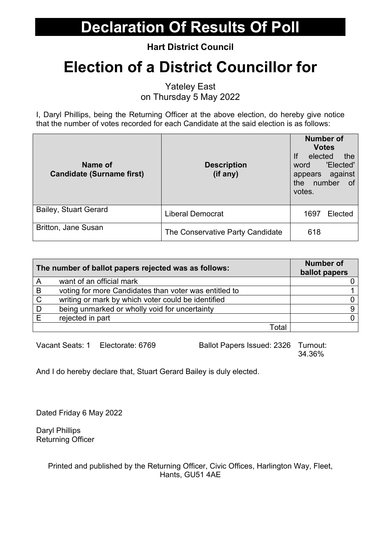**Hart District Council**

# **Election of a District Councillor for**

Yateley East on Thursday 5 May 2022

I, Daryl Phillips, being the Returning Officer at the above election, do hereby give notice that the number of votes recorded for each Candidate at the said election is as follows:

| Name of<br><b>Candidate (Surname first)</b> | <b>Description</b><br>(if any)   | <b>Number of</b><br><b>Votes</b><br>If<br>elected<br>the<br>'Elected'<br>word<br>appears against<br>number<br>the<br>of<br>votes. |
|---------------------------------------------|----------------------------------|-----------------------------------------------------------------------------------------------------------------------------------|
| <b>Bailey, Stuart Gerard</b>                | <b>Liberal Democrat</b>          | 1697<br>Elected                                                                                                                   |
| <b>Britton, Jane Susan</b>                  | The Conservative Party Candidate | 618                                                                                                                               |

| The number of ballot papers rejected was as follows: |                                                       | <b>Number of</b><br>ballot papers |
|------------------------------------------------------|-------------------------------------------------------|-----------------------------------|
| A                                                    | want of an official mark                              |                                   |
| B                                                    | voting for more Candidates than voter was entitled to |                                   |
| $\mathsf{C}$                                         | writing or mark by which voter could be identified    |                                   |
|                                                      | being unmarked or wholly void for uncertainty         |                                   |
|                                                      | rejected in part                                      |                                   |
|                                                      | Total                                                 |                                   |

Vacant Seats: 1 Electorate: 6769 Ballot Papers Issued: 2326 Turnout:

34.36%

And I do hereby declare that, Stuart Gerard Bailey is duly elected.

Dated Friday 6 May 2022

Daryl Phillips Returning Officer